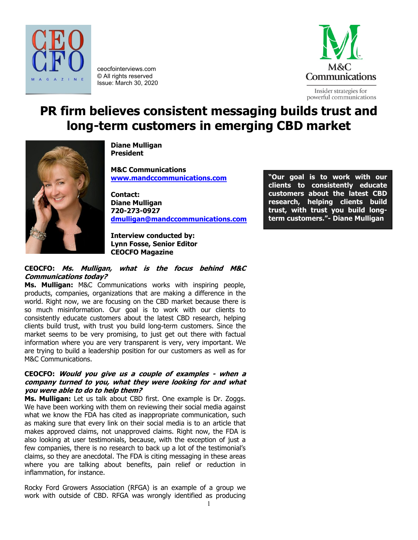

ceocfointerviews.com © All rights reserved Issue: March 30, 2020



Insider strategies for powerful communications

# **PR firm believes consistent messaging builds trust and long-term customers in emerging CBD market**



**Diane Mulligan President**

**M&C Communications [www.mandccommunications.com](http://www.mandccommunications.com/)**

**Contact: Diane Mulligan 720-273-0927 [dmulligan@mandccommunications.com](mailto:dmulligan@mandccommunications.com)**

**Interview conducted by: Lynn Fosse, Senior Editor CEOCFO Magazine**

# **CEOCFO: Ms. Mulligan, what is the focus behind M&C Communications today?**

**Ms. Mulligan:** M&C Communications works with inspiring people, products, companies, organizations that are making a difference in the world. Right now, we are focusing on the CBD market because there is so much misinformation. Our goal is to work with our clients to consistently educate customers about the latest CBD research, helping clients build trust, with trust you build long-term customers. Since the market seems to be very promising, to just get out there with factual information where you are very transparent is very, very important. We are trying to build a leadership position for our customers as well as for M&C Communications.

# **CEOCFO: Would you give us a couple of examples - when a company turned to you, what they were looking for and what you were able to do to help them?**

**Ms. Mulligan:** Let us talk about CBD first. One example is Dr. Zoggs. We have been working with them on reviewing their social media against what we know the FDA has cited as inappropriate communication, such as making sure that every link on their social media is to an article that makes approved claims, not unapproved claims. Right now, the FDA is also looking at user testimonials, because, with the exception of just a few companies, there is no research to back up a lot of the testimonial's claims, so they are anecdotal. The FDA is citing messaging in these areas where you are talking about benefits, pain relief or reduction in inflammation, for instance.

Rocky Ford Growers Association (RFGA) is an example of a group we work with outside of CBD. RFGA was wrongly identified as producing

**"Our goal is to work with our clients to consistently educate customers about the latest CBD research, helping clients build trust, with trust you build longterm customers."- Diane Mulligan**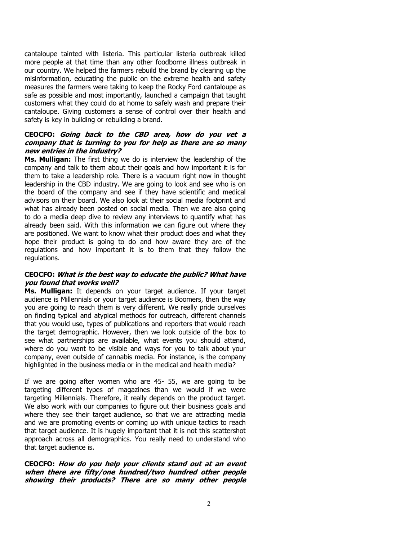cantaloupe tainted with listeria. This particular listeria outbreak killed more people at that time than any other foodborne illness outbreak in our country. We helped the farmers rebuild the brand by clearing up the misinformation, educating the public on the extreme health and safety measures the farmers were taking to keep the Rocky Ford cantaloupe as safe as possible and most importantly, launched a campaign that taught customers what they could do at home to safely wash and prepare their cantaloupe. Giving customers a sense of control over their health and safety is key in building or rebuilding a brand.

# **CEOCFO: Going back to the CBD area, how do you vet a company that is turning to you for help as there are so many new entries in the industry?**

**Ms. Mulligan:** The first thing we do is interview the leadership of the company and talk to them about their goals and how important it is for them to take a leadership role. There is a vacuum right now in thought leadership in the CBD industry. We are going to look and see who is on the board of the company and see if they have scientific and medical advisors on their board. We also look at their social media footprint and what has already been posted on social media. Then we are also going to do a media deep dive to review any interviews to quantify what has already been said. With this information we can figure out where they are positioned. We want to know what their product does and what they hope their product is going to do and how aware they are of the regulations and how important it is to them that they follow the regulations.

#### **CEOCFO: What is the best way to educate the public? What have you found that works well?**

**Ms. Mulligan:** It depends on your target audience. If your target audience is Millennials or your target audience is Boomers, then the way you are going to reach them is very different. We really pride ourselves on finding typical and atypical methods for outreach, different channels that you would use, types of publications and reporters that would reach the target demographic. However, then we look outside of the box to see what partnerships are available, what events you should attend, where do you want to be visible and ways for you to talk about your company, even outside of cannabis media. For instance, is the company highlighted in the business media or in the medical and health media?

If we are going after women who are 45- 55, we are going to be targeting different types of magazines than we would if we were targeting Millennials. Therefore, it really depends on the product target. We also work with our companies to figure out their business goals and where they see their target audience, so that we are attracting media and we are promoting events or coming up with unique tactics to reach that target audience. It is hugely important that it is not this scattershot approach across all demographics. You really need to understand who that target audience is.

#### **CEOCFO: How do you help your clients stand out at an event when there are fifty/one hundred/two hundred other people showing their products? There are so many other people**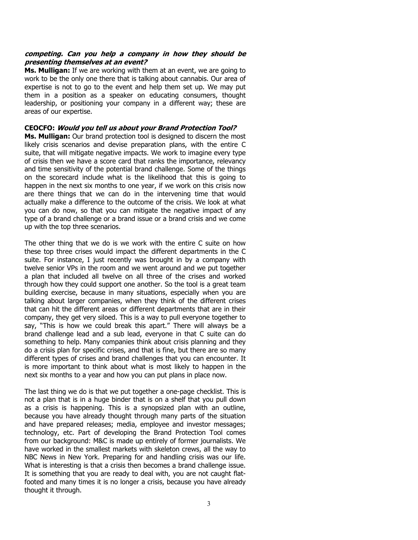#### **competing. Can you help a company in how they should be presenting themselves at an event?**

**Ms. Mulligan:** If we are working with them at an event, we are going to work to be the only one there that is talking about cannabis. Our area of expertise is not to go to the event and help them set up. We may put them in a position as a speaker on educating consumers, thought leadership, or positioning your company in a different way; these are areas of our expertise.

## **CEOCFO: Would you tell us about your Brand Protection Tool?**

**Ms. Mulligan:** Our brand protection tool is designed to discern the most likely crisis scenarios and devise preparation plans, with the entire C suite, that will mitigate negative impacts. We work to imagine every type of crisis then we have a score card that ranks the importance, relevancy and time sensitivity of the potential brand challenge. Some of the things on the scorecard include what is the likelihood that this is going to happen in the next six months to one year, if we work on this crisis now are there things that we can do in the intervening time that would actually make a difference to the outcome of the crisis. We look at what you can do now, so that you can mitigate the negative impact of any type of a brand challenge or a brand issue or a brand crisis and we come up with the top three scenarios.

The other thing that we do is we work with the entire C suite on how these top three crises would impact the different departments in the C suite. For instance, I just recently was brought in by a company with twelve senior VPs in the room and we went around and we put together a plan that included all twelve on all three of the crises and worked through how they could support one another. So the tool is a great team building exercise, because in many situations, especially when you are talking about larger companies, when they think of the different crises that can hit the different areas or different departments that are in their company, they get very siloed. This is a way to pull everyone together to say, "This is how we could break this apart." There will always be a brand challenge lead and a sub lead, everyone in that C suite can do something to help. Many companies think about crisis planning and they do a crisis plan for specific crises, and that is fine, but there are so many different types of crises and brand challenges that you can encounter. It is more important to think about what is most likely to happen in the next six months to a year and how you can put plans in place now.

The last thing we do is that we put together a one-page checklist. This is not a plan that is in a huge binder that is on a shelf that you pull down as a crisis is happening. This is a synopsized plan with an outline, because you have already thought through many parts of the situation and have prepared releases; media, employee and investor messages; technology, etc. Part of developing the Brand Protection Tool comes from our background: M&C is made up entirely of former journalists. We have worked in the smallest markets with skeleton crews, all the way to NBC News in New York. Preparing for and handling crisis was our life. What is interesting is that a crisis then becomes a brand challenge issue. It is something that you are ready to deal with, you are not caught flatfooted and many times it is no longer a crisis, because you have already thought it through.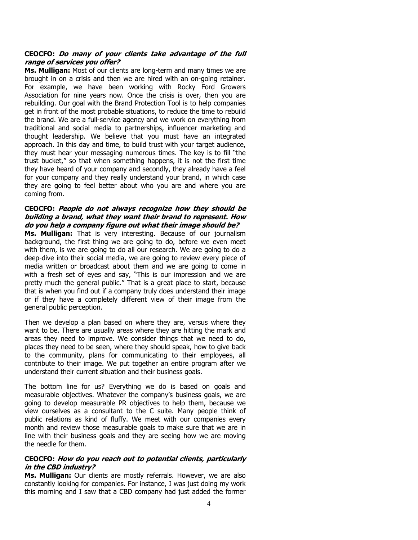#### **CEOCFO: Do many of your clients take advantage of the full range of services you offer?**

**Ms. Mulligan:** Most of our clients are long-term and many times we are brought in on a crisis and then we are hired with an on-going retainer. For example, we have been working with Rocky Ford Growers Association for nine years now. Once the crisis is over, then you are rebuilding. Our goal with the Brand Protection Tool is to help companies get in front of the most probable situations, to reduce the time to rebuild the brand. We are a full-service agency and we work on everything from traditional and social media to partnerships, influencer marketing and thought leadership. We believe that you must have an integrated approach. In this day and time, to build trust with your target audience, they must hear your messaging numerous times. The key is to fill "the trust bucket," so that when something happens, it is not the first time they have heard of your company and secondly, they already have a feel for your company and they really understand your brand, in which case they are going to feel better about who you are and where you are coming from.

## **CEOCFO: People do not always recognize how they should be building a brand, what they want their brand to represent. How do you help a company figure out what their image should be?**

**Ms. Mulligan:** That is very interesting. Because of our journalism background, the first thing we are going to do, before we even meet with them, is we are going to do all our research. We are going to do a deep-dive into their social media, we are going to review every piece of media written or broadcast about them and we are going to come in with a fresh set of eyes and say, "This is our impression and we are pretty much the general public." That is a great place to start, because that is when you find out if a company truly does understand their image or if they have a completely different view of their image from the general public perception.

Then we develop a plan based on where they are, versus where they want to be. There are usually areas where they are hitting the mark and areas they need to improve. We consider things that we need to do, places they need to be seen, where they should speak, how to give back to the community, plans for communicating to their employees, all contribute to their image. We put together an entire program after we understand their current situation and their business goals.

The bottom line for us? Everything we do is based on goals and measurable objectives. Whatever the company's business goals, we are going to develop measurable PR objectives to help them, because we view ourselves as a consultant to the C suite. Many people think of public relations as kind of fluffy. We meet with our companies every month and review those measurable goals to make sure that we are in line with their business goals and they are seeing how we are moving the needle for them.

# **CEOCFO: How do you reach out to potential clients, particularly in the CBD industry?**

**Ms. Mulligan:** Our clients are mostly referrals. However, we are also constantly looking for companies. For instance, I was just doing my work this morning and I saw that a CBD company had just added the former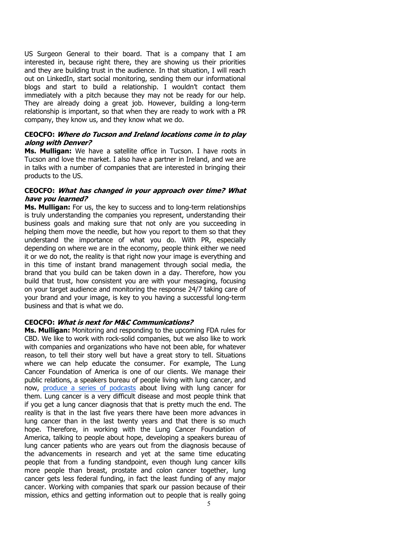US Surgeon General to their board. That is a company that I am interested in, because right there, they are showing us their priorities and they are building trust in the audience. In that situation, I will reach out on LinkedIn, start social monitoring, sending them our informational blogs and start to build a relationship. I wouldn't contact them immediately with a pitch because they may not be ready for our help. They are already doing a great job. However, building a long-term relationship is important, so that when they are ready to work with a PR company, they know us, and they know what we do.

# **CEOCFO: Where do Tucson and Ireland locations come in to play along with Denver?**

**Ms. Mulligan:** We have a satellite office in Tucson. I have roots in Tucson and love the market. I also have a partner in Ireland, and we are in talks with a number of companies that are interested in bringing their products to the US.

## **CEOCFO: What has changed in your approach over time? What have you learned?**

**Ms. Mulligan:** For us, the key to success and to long-term relationships is truly understanding the companies you represent, understanding their business goals and making sure that not only are you succeeding in helping them move the needle, but how you report to them so that they understand the importance of what you do. With PR, especially depending on where we are in the economy, people think either we need it or we do not, the reality is that right now your image is everything and in this time of instant brand management through social media, the brand that you build can be taken down in a day. Therefore, how you build that trust, how consistent you are with your messaging, focusing on your target audience and monitoring the response 24/7 taking care of your brand and your image, is key to you having a successful long-term business and that is what we do.

# **CEOCFO: What is next for M&C Communications?**

**Ms. Mulligan:** Monitoring and responding to the upcoming FDA rules for CBD. We like to work with rock-solid companies, but we also like to work with companies and organizations who have not been able, for whatever reason, to tell their story well but have a great story to tell. Situations where we can help educate the consumer. For example, The Lung Cancer Foundation of America is one of our clients. We manage their public relations, a speakers bureau of people living with lung cancer, and now, [produce a series of podcasts](https://lcfamerica.org/lung-cancer-info/hope-with-answers-podcast/) about living with lung cancer for them. Lung cancer is a very difficult disease and most people think that if you get a lung cancer diagnosis that that is pretty much the end. The reality is that in the last five years there have been more advances in lung cancer than in the last twenty years and that there is so much hope. Therefore, in working with the Lung Cancer Foundation of America, talking to people about hope, developing a speakers bureau of lung cancer patients who are years out from the diagnosis because of the advancements in research and yet at the same time educating people that from a funding standpoint, even though lung cancer kills more people than breast, prostate and colon cancer together, lung cancer gets less federal funding, in fact the least funding of any major cancer. Working with companies that spark our passion because of their mission, ethics and getting information out to people that is really going